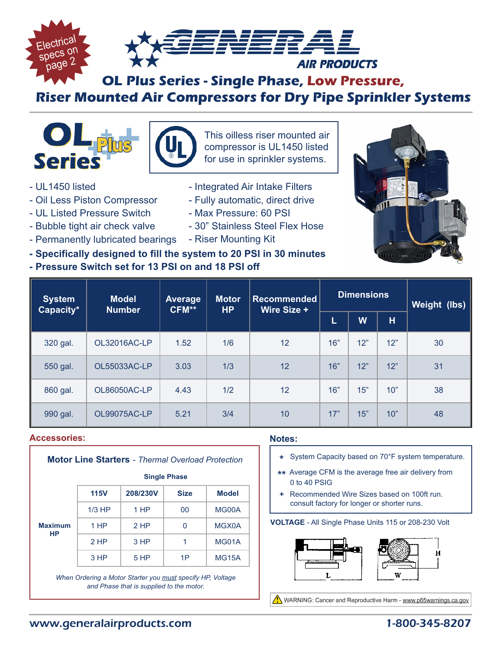

# **OL Plus Series - Single Phase, Low Pressure, Riser Mounted Air Compressors for Dry Pipe Sprinkler Systems**



- UL1450 listed
- Oil Less Piston Compressor
- UL Listed Pressure Switch
- Bubble tight air check valve
- Permanently lubricated bearings Riser Mounting Kit
- 

This oilless riser mounted air compressor is UL1450 listed for use in sprinkler systems.

- Integrated Air Intake Filters
- Fully automatic, direct drive
- Max Pressure: 60 PSI
- 30" Stainless Steel Flex Hose
- 



**- Pressure Switch set for 13 PSI on and 18 PSI off**



| <b>System</b><br>Capacity* | <b>Model</b><br><b>Number</b> | Average<br>CFM** | Motor<br><b>HP</b> | <b>Recommended</b><br>Wire Size + | <b>Dimensions</b> |     |     | <b>Weight (lbs)</b> |  |
|----------------------------|-------------------------------|------------------|--------------------|-----------------------------------|-------------------|-----|-----|---------------------|--|
|                            |                               |                  |                    |                                   | L                 | W   | н   |                     |  |
| 320 gal.                   | OL32016AC-LP                  | 1.52             | 1/6                | 12                                | 16"               | 12" | 12" | 30                  |  |
| 550 gal.                   | OL55033AC-LP                  | 3.03             | 1/3                | 12                                | 16"               | 12" | 12" | 31                  |  |
| 860 gal.                   | <b>OL86050AC-LP</b>           | 4.43             | 1/2                | 12                                | 16"               | 15" | 10" | 38                  |  |
| 990 gal.                   | OL99075AC-LP                  | 5.21             | 3/4                | 10                                | 17"               | 15" | 10" | 48                  |  |

#### **Accessories:**

| <b>Motor Line Starters - Thermal Overload Protection</b> |                     |          |             |              |  |  |  |  |
|----------------------------------------------------------|---------------------|----------|-------------|--------------|--|--|--|--|
|                                                          | <b>Single Phase</b> |          |             |              |  |  |  |  |
|                                                          | <b>115V</b>         | 208/230V | <b>Size</b> | <b>Model</b> |  |  |  |  |
|                                                          | $1/3$ HP            | 1 HP     | 00          | MG00A        |  |  |  |  |
| <b>Maximum</b><br>HP                                     | 1 HP                | $2$ HP   | 0           | MGX0A        |  |  |  |  |
|                                                          | 2 HP                | 3HP      | 1           | MG01A        |  |  |  |  |
|                                                          | 3 HP                | 5 HP     | 1P          | <b>MG15A</b> |  |  |  |  |
|                                                          |                     |          |             |              |  |  |  |  |

*When Ordering a Motor Starter you must specify HP, Voltage and Phase that is supplied to the motor.*

#### **Notes:**

- **\*** System Capacity based on 70°F system temperature.
- **\*\*** Average CFM is the average free air delivery from 0 to 40 PSIG
- **+** Recommended Wire Sizes based on 100ft run. consult factory for longer or shorter runs.

#### **VOLTAGE** - All Single Phase Units 115 or 208-230 Volt



WARNING: Cancer and Reproductive Harm - www.p65warnings.ca.gov

## www.generalairproducts.com 1-800-345-8207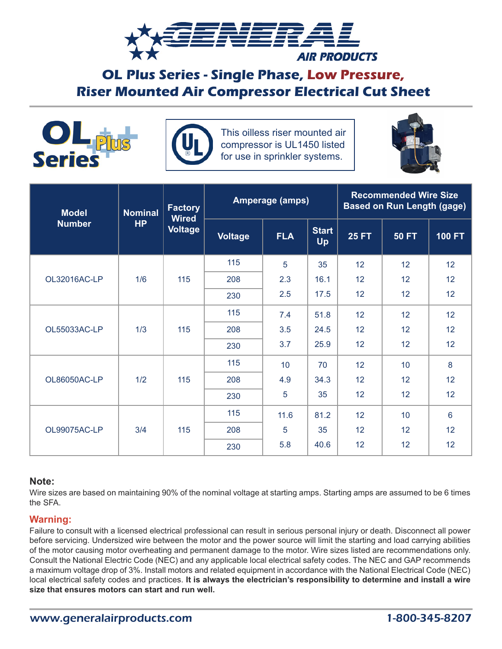

# **OL Plus Series - Single Phase, Low Pressure, Riser Mounted Air Compressor Electrical Cut Sheet**





This oilless riser mounted air compressor is UL1450 listed for use in sprinkler systems.



| <b>Model</b>  | <b>Nominal</b><br><b>HP</b> | <b>Factory</b><br><b>Wired</b><br><b>Voltage</b> | <b>Amperage (amps)</b> |            |                    | <b>Recommended Wire Size</b><br><b>Based on Run Length (gage)</b> |                 |                 |  |
|---------------|-----------------------------|--------------------------------------------------|------------------------|------------|--------------------|-------------------------------------------------------------------|-----------------|-----------------|--|
| <b>Number</b> |                             |                                                  | <b>Voltage</b>         | <b>FLA</b> | <b>Start</b><br>Up | <b>25 FT</b>                                                      | <b>50 FT</b>    | $100$ FT        |  |
|               | 1/6                         | 115                                              | 115                    | 5          | 35                 | 12                                                                | 12 <sub>2</sub> | 12              |  |
| OL32016AC-LP  |                             |                                                  | 208                    | 2.3        | 16.1               | 12                                                                | 12 <sub>2</sub> | 12              |  |
|               |                             |                                                  | 230                    | 2.5        | 17.5               | 12                                                                | 12              | 12              |  |
|               |                             | 115                                              | 115                    | 7.4        | 51.8               | 12                                                                | 12              | 12              |  |
| OL55033AC-LP  | 1/3                         |                                                  | 208                    | 3.5        | 24.5               | 12                                                                | 12              | 12              |  |
|               |                             |                                                  | 230                    | 3.7        | 25.9               | 12                                                                | 12              | 12              |  |
|               | 1/2                         | 115                                              | 115                    | 10         | 70                 | 12                                                                | 10              | 8               |  |
| OL86050AC-LP  |                             |                                                  | 208                    | 4.9        | 34.3               | 12                                                                | 12 <sub>2</sub> | 12              |  |
|               |                             |                                                  | 230                    | 5          | 35                 | 12                                                                | 12 <sub>2</sub> | 12              |  |
|               |                             | 115                                              | 115                    | 11.6       | 81.2               | 12                                                                | 10              | $6\phantom{1}6$ |  |
| OL99075AC-LP  | 3/4                         |                                                  | 208                    | 5          | 35                 | 12                                                                | 12              | 12              |  |
|               |                             |                                                  | 230                    | 5.8        | 40.6               | 12                                                                | 12              | 12              |  |

#### **Note:**

Wire sizes are based on maintaining 90% of the nominal voltage at starting amps. Starting amps are assumed to be 6 times the SFA.

#### **Warning:**

Failure to consult with a licensed electrical professional can result in serious personal injury or death. Disconnect all power before servicing. Undersized wire between the motor and the power source will limit the starting and load carrying abilities of the motor causing motor overheating and permanent damage to the motor. Wire sizes listed are recommendations only. Consult the National Electric Code (NEC) and any applicable local electrical safety codes. The NEC and GAP recommends a maximum voltage drop of 3%. Install motors and related equipment in accordance with the National Electrical Code (NEC) local electrical safety codes and practices. **It is always the electrician's responsibility to determine and install a wire size that ensures motors can start and run well.**